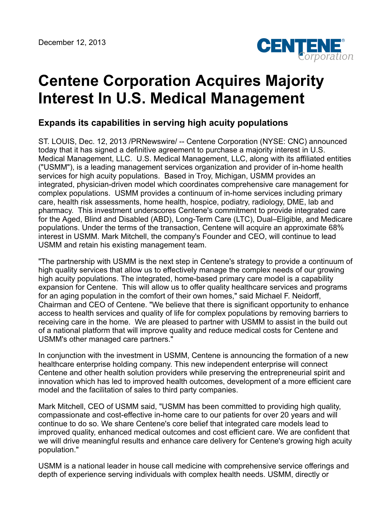

## **Centene Corporation Acquires Majority Interest In U.S. Medical Management**

## **Expands its capabilities in serving high acuity populations**

ST. LOUIS, Dec. 12, 2013 /PRNewswire/ -- Centene Corporation (NYSE: CNC) announced today that it has signed a definitive agreement to purchase a majority interest in U.S. Medical Management, LLC. U.S. Medical Management, LLC, along with its affiliated entities ("USMM"), is a leading management services organization and provider of in-home health services for high acuity populations. Based in Troy, Michigan, USMM provides an integrated, physician-driven model which coordinates comprehensive care management for complex populations. USMM provides a continuum of in-home services including primary care, health risk assessments, home health, hospice, podiatry, radiology, DME, lab and pharmacy. This investment underscores Centene's commitment to provide integrated care for the Aged, Blind and Disabled (ABD), Long-Term Care (LTC), Dual–Eligible, and Medicare populations. Under the terms of the transaction, Centene will acquire an approximate 68% interest in USMM. Mark Mitchell, the company's Founder and CEO, will continue to lead USMM and retain his existing management team.

"The partnership with USMM is the next step in Centene's strategy to provide a continuum of high quality services that allow us to effectively manage the complex needs of our growing high acuity populations. The integrated, home-based primary care model is a capability expansion for Centene. This will allow us to offer quality healthcare services and programs for an aging population in the comfort of their own homes," said Michael F. Neidorff, Chairman and CEO of Centene. "We believe that there is significant opportunity to enhance access to health services and quality of life for complex populations by removing barriers to receiving care in the home. We are pleased to partner with USMM to assist in the build out of a national platform that will improve quality and reduce medical costs for Centene and USMM's other managed care partners."

In conjunction with the investment in USMM, Centene is announcing the formation of a new healthcare enterprise holding company. This new independent enterprise will connect Centene and other health solution providers while preserving the entrepreneurial spirit and innovation which has led to improved health outcomes, development of a more efficient care model and the facilitation of sales to third party companies.

Mark Mitchell, CEO of USMM said, "USMM has been committed to providing high quality, compassionate and cost-effective in-home care to our patients for over 20 years and will continue to do so. We share Centene's core belief that integrated care models lead to improved quality, enhanced medical outcomes and cost efficient care. We are confident that we will drive meaningful results and enhance care delivery for Centene's growing high acuity population."

USMM is a national leader in house call medicine with comprehensive service offerings and depth of experience serving individuals with complex health needs. USMM, directly or